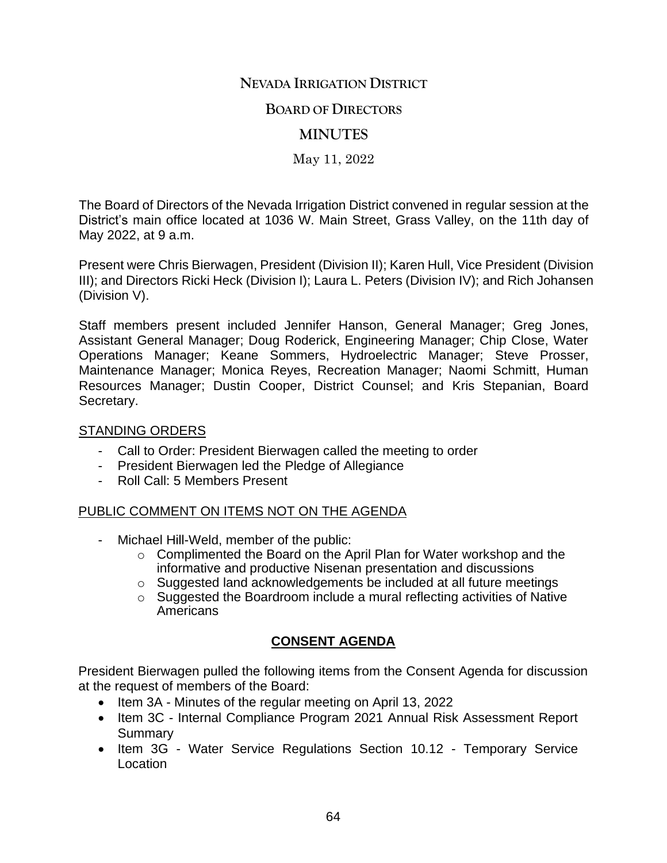## **NEVADA IRRIGATION DISTRICT**

### **BOARD OF DIRECTORS**

## **MINUTES**

May 11, 2022

The Board of Directors of the Nevada Irrigation District convened in regular session at the District's main office located at 1036 W. Main Street, Grass Valley, on the 11th day of May 2022, at 9 a.m.

Present were Chris Bierwagen, President (Division II); Karen Hull, Vice President (Division III); and Directors Ricki Heck (Division I); Laura L. Peters (Division IV); and Rich Johansen (Division V).

Staff members present included Jennifer Hanson, General Manager; Greg Jones, Assistant General Manager; Doug Roderick, Engineering Manager; Chip Close, Water Operations Manager; Keane Sommers, Hydroelectric Manager; Steve Prosser, Maintenance Manager; Monica Reyes, Recreation Manager; Naomi Schmitt, Human Resources Manager; Dustin Cooper, District Counsel; and Kris Stepanian, Board Secretary.

#### STANDING ORDERS

- Call to Order: President Bierwagen called the meeting to order
- President Bierwagen led the Pledge of Allegiance
- Roll Call: 5 Members Present

#### PUBLIC COMMENT ON ITEMS NOT ON THE AGENDA

- Michael Hill-Weld, member of the public:
	- o Complimented the Board on the April Plan for Water workshop and the informative and productive Nisenan presentation and discussions
	- o Suggested land acknowledgements be included at all future meetings
	- o Suggested the Boardroom include a mural reflecting activities of Native **Americans**

## **CONSENT AGENDA**

President Bierwagen pulled the following items from the Consent Agenda for discussion at the request of members of the Board:

- Item 3A Minutes of the regular meeting on April 13, 2022
- Item 3C Internal Compliance Program 2021 Annual Risk Assessment Report **Summary**
- Item 3G Water Service Regulations Section 10.12 Temporary Service Location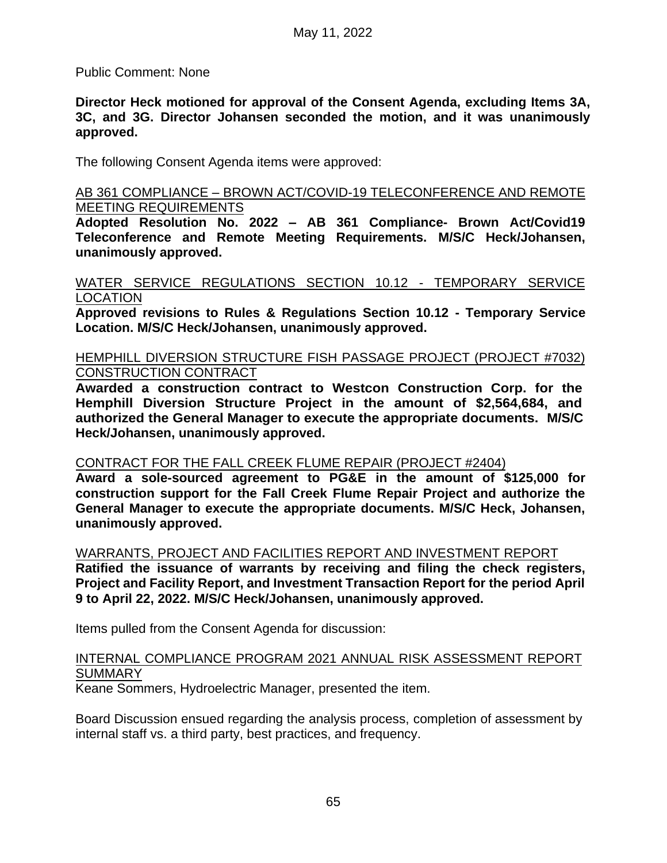Public Comment: None

**Director Heck motioned for approval of the Consent Agenda, excluding Items 3A, 3C, and 3G. Director Johansen seconded the motion, and it was unanimously approved.** 

The following Consent Agenda items were approved:

#### AB 361 COMPLIANCE – BROWN ACT/COVID-19 TELECONFERENCE AND REMOTE MEETING REQUIREMENTS

**Adopted Resolution No. 2022 – AB 361 Compliance- Brown Act/Covid19 Teleconference and Remote Meeting Requirements. M/S/C Heck/Johansen, unanimously approved.** 

#### WATER SERVICE REGULATIONS SECTION 10.12 - TEMPORARY SERVICE LOCATION

**Approved revisions to Rules & Regulations Section 10.12 - Temporary Service Location. M/S/C Heck/Johansen, unanimously approved.** 

### HEMPHILL DIVERSION STRUCTURE FISH PASSAGE PROJECT (PROJECT #7032) CONSTRUCTION CONTRACT

**Awarded a construction contract to Westcon Construction Corp. for the Hemphill Diversion Structure Project in the amount of \$2,564,684, and authorized the General Manager to execute the appropriate documents. M/S/C Heck/Johansen, unanimously approved.** 

#### CONTRACT FOR THE FALL CREEK FLUME REPAIR (PROJECT #2404)

**Award a sole-sourced agreement to PG&E in the amount of \$125,000 for construction support for the Fall Creek Flume Repair Project and authorize the General Manager to execute the appropriate documents. M/S/C Heck, Johansen, unanimously approved.** 

WARRANTS, PROJECT AND FACILITIES REPORT AND INVESTMENT REPORT **Ratified the issuance of warrants by receiving and filing the check registers, Project and Facility Report, and Investment Transaction Report for the period April 9 to April 22, 2022. M/S/C Heck/Johansen, unanimously approved.** 

Items pulled from the Consent Agenda for discussion:

## INTERNAL COMPLIANCE PROGRAM 2021 ANNUAL RISK ASSESSMENT REPORT **SUMMARY**

Keane Sommers, Hydroelectric Manager, presented the item.

Board Discussion ensued regarding the analysis process, completion of assessment by internal staff vs. a third party, best practices, and frequency.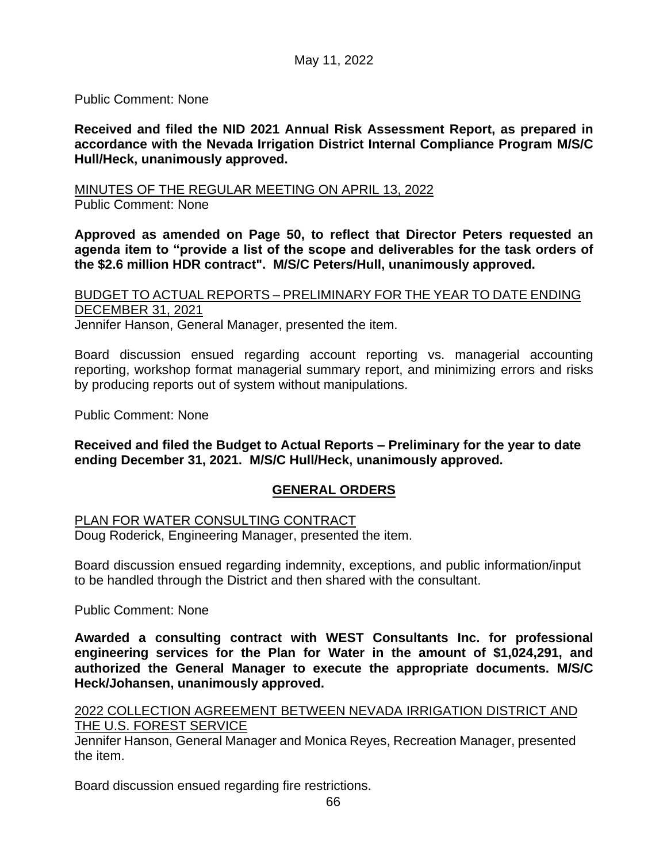Public Comment: None

**Received and filed the NID 2021 Annual Risk Assessment Report, as prepared in accordance with the Nevada Irrigation District Internal Compliance Program M/S/C Hull/Heck, unanimously approved.** 

MINUTES OF THE REGULAR MEETING ON APRIL 13, 2022 Public Comment: None

**Approved as amended on Page 50, to reflect that Director Peters requested an agenda item to "provide a list of the scope and deliverables for the task orders of the \$2.6 million HDR contract". M/S/C Peters/Hull, unanimously approved.**

BUDGET TO ACTUAL REPORTS – PRELIMINARY FOR THE YEAR TO DATE ENDING DECEMBER 31, 2021 Jennifer Hanson, General Manager, presented the item.

Board discussion ensued regarding account reporting vs. managerial accounting reporting, workshop format managerial summary report, and minimizing errors and risks by producing reports out of system without manipulations.

Public Comment: None

**Received and filed the Budget to Actual Reports – Preliminary for the year to date ending December 31, 2021. M/S/C Hull/Heck, unanimously approved.** 

## **GENERAL ORDERS**

PLAN FOR WATER CONSULTING CONTRACT

Doug Roderick, Engineering Manager, presented the item.

Board discussion ensued regarding indemnity, exceptions, and public information/input to be handled through the District and then shared with the consultant.

Public Comment: None

**Awarded a consulting contract with WEST Consultants Inc. for professional engineering services for the Plan for Water in the amount of \$1,024,291, and authorized the General Manager to execute the appropriate documents. M/S/C Heck/Johansen, unanimously approved.** 

2022 COLLECTION AGREEMENT BETWEEN NEVADA IRRIGATION DISTRICT AND THE U.S. FOREST SERVICE

Jennifer Hanson, General Manager and Monica Reyes, Recreation Manager, presented the item.

Board discussion ensued regarding fire restrictions.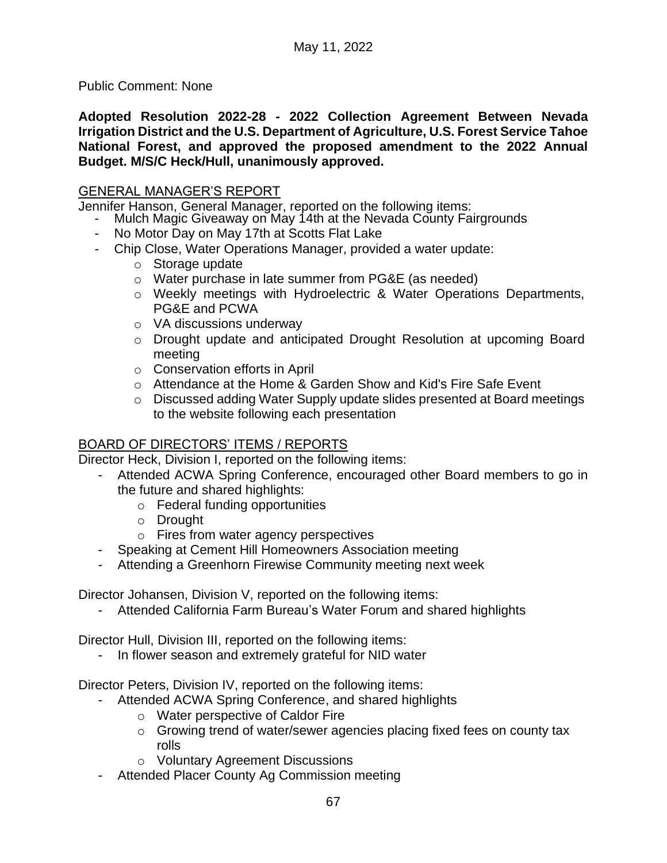Public Comment: None

**Adopted Resolution 2022-28 - 2022 Collection Agreement Between Nevada Irrigation District and the U.S. Department of Agriculture, U.S. Forest Service Tahoe National Forest, and approved the proposed amendment to the 2022 Annual Budget. M/S/C Heck/Hull, unanimously approved.**

## GENERAL MANAGER'S REPORT

Jennifer Hanson, General Manager, reported on the following items:

- Mulch Magic Giveaway on May 14th at the Nevada County Fairgrounds
- No Motor Day on May 17th at Scotts Flat Lake
	- Chip Close, Water Operations Manager, provided a water update:
		- o Storage update
		- o Water purchase in late summer from PG&E (as needed)
		- o Weekly meetings with Hydroelectric & Water Operations Departments, PG&E and PCWA
		- o VA discussions underway
		- o Drought update and anticipated Drought Resolution at upcoming Board meeting
		- o Conservation efforts in April
		- o Attendance at the Home & Garden Show and Kid's Fire Safe Event
		- o Discussed adding Water Supply update slides presented at Board meetings to the website following each presentation

# BOARD OF DIRECTORS' ITEMS / REPORTS

Director Heck, Division I, reported on the following items:

- Attended ACWA Spring Conference, encouraged other Board members to go in the future and shared highlights:
	- o Federal funding opportunities
	- o Drought
	- o Fires from water agency perspectives
- Speaking at Cement Hill Homeowners Association meeting
- Attending a Greenhorn Firewise Community meeting next week

Director Johansen, Division V, reported on the following items:

- Attended California Farm Bureau's Water Forum and shared highlights

Director Hull, Division III, reported on the following items:

- In flower season and extremely grateful for NID water

Director Peters, Division IV, reported on the following items:

- Attended ACWA Spring Conference, and shared highlights
	- o Water perspective of Caldor Fire
	- $\circ$  Growing trend of water/sewer agencies placing fixed fees on county tax rolls
	- o Voluntary Agreement Discussions
- Attended Placer County Ag Commission meeting